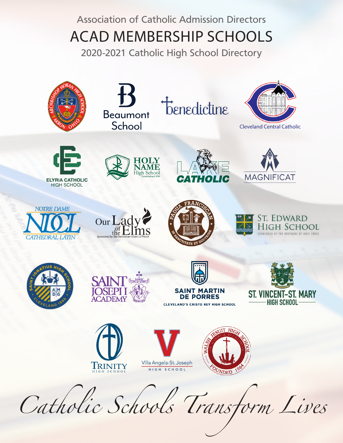### Association of Catholic Admission Directors ACAD MEMBERSHIP SCHOOLS

2020-2021 Catholic High School Directory

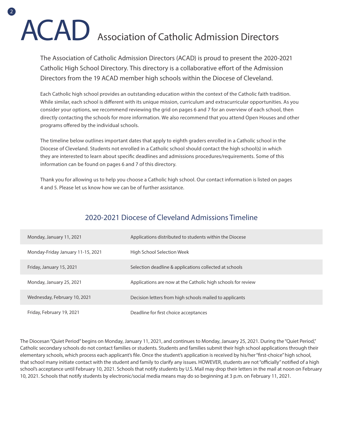# ACAD Association of Catholic Admission Directors

 $\sqrt{2}$ 

The Association of Catholic Admission Directors (ACAD) is proud to present the 2020-2021 Catholic High School Directory. This directory is a collaborative effort of the Admission Directors from the 19 ACAD member high schools within the Diocese of Cleveland.

Each Catholic high school provides an outstanding education within the context of the Catholic faith tradition. While similar, each school is different with its unique mission, curriculum and extracurricular opportunities. As you consider your options, we recommend reviewing the grid on pages 6 and 7 for an overview of each school, then directly contacting the schools for more information. We also recommend that you attend Open Houses and other programs offered by the individual schools.

The timeline below outlines important dates that apply to eighth graders enrolled in a Catholic school in the Diocese of Cleveland. Students not enrolled in a Catholic school should contact the high school(s) in which they are interested to learn about specific deadlines and admissions procedures/requirements. Some of this information can be found on pages 6 and 7 of this directory.

Thank you for allowing us to help you choose a Catholic high school. Our contact information is listed on pages 4 and 5. Please let us know how we can be of further assistance.

#### 2020-2021 Diocese of Cleveland Admissions Timeline

| Monday, January 11, 2021          | Applications distributed to students within the Diocese      |
|-----------------------------------|--------------------------------------------------------------|
| Monday-Friday January 11-15, 2021 | High School Selection Week                                   |
| Friday, January 15, 2021          | Selection deadline & applications collected at schools       |
| Monday, January 25, 2021          | Applications are now at the Catholic high schools for review |
| Wednesday, February 10, 2021      | Decision letters from high schools mailed to applicants      |
| Friday, February 19, 2021         | Deadline for first choice acceptances                        |

The Diocesan "Quiet Period" begins on Monday, January 11, 2021, and continues to Monday, January 25, 2021. During the "Quiet Period," Catholic secondary schools do not contact families or students. Students and families submit their high school applications through their elementary schools, which process each applicant's file. Once the student's application is received by his/her "first-choice" high school, that school many initiate contact with the student and family to clarify any issues. HOWEVER, students are not "officially" notified of a high school's acceptance until February 10, 2021. Schools that notify students by U.S. Mail may drop their letters in the mail at noon on February 10, 2021. Schools that notify students by electronic/social media means may do so beginning at 3 p.m. on February 11, 2021.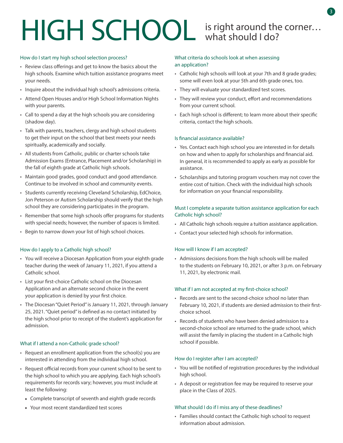# HIGH SCHOOL is right around the corner...

#### How do I start my high school selection process?

- Review class offerings and get to know the basics about the high schools. Examine which tuition assistance programs meet your needs.
- Inquire about the individual high school's admissions criteria.
- Attend Open Houses and/or High School Information Nights with your parents.
- Call to spend a day at the high schools you are considering (shadow day).
- Talk with parents, teachers, clergy and high school students to get their input on the school that best meets your needs spiritually, academically and socially.
- All students from Catholic, public or charter schools take Admission Exams (Entrance, Placement and/or Scholarship) in the fall of eighth grade at Catholic high schools.
- Maintain good grades, good conduct and good attendance. Continue to be involved in school and community events.
- Students currently receiving Cleveland Scholarship, EdChoice, Jon Peterson or Autism Scholarship should verify that the high school they are considering participates in the program.
- Remember that some high schools offer programs for students with special needs; however, the number of spaces is limited.
- Begin to narrow down your list of high school choices.

#### How do I apply to a Catholic high school?

- You will receive a Diocesan Application from your eighth grade teacher during the week of January 11, 2021, if you attend a Catholic school.
- List your first-choice Catholic school on the Diocesan Application and an alternate second choice in the event your application is denied by your first choice.
- The Diocesan "Quiet Period" is January 11, 2021, through January 25, 2021. "Quiet period" is defined as no contact initiated by the high school prior to receipt of the student's application for admission.

#### What if I attend a non-Catholic grade school?

- Request an enrollment application from the school(s) you are interested in attending from the individual high school.
- Request official records from your current school to be sent to the high school to which you are applying. Each high school's requirements for records vary; however, you must include at least the following:
	- Complete transcript of seventh and eighth grade records
	- Your most recent standardized test scores

#### What criteria do schools look at when assessing an application?

- Catholic high schools will look at your 7th and 8 grade grades; some will even look at your 5th and 6th grade ones, too.
- They will evaluate your standardized test scores.
- They will review your conduct, effort and recommendations from your current school.
- Each high school is different; to learn more about their specific criteria, contact the high schools.

#### Is financial assistance available?

- Yes. Contact each high school you are interested in for details on how and when to apply for scholarships and financial aid. In general, it is recommended to apply as early as possible for assistance.
- Scholarships and tutoring program vouchers may not cover the entire cost of tuition. Check with the individual high schools for information on your financial responsibility.

#### Must I complete a separate tuition assistance application for each Catholic high school?

- All Catholic high schools require a tuition assistance application.
- Contact your selected high schools for information.

#### How will I know if I am accepted?

• Admissions decisions from the high schools will be mailed to the students on February 10, 2021, or after 3 p.m. on February 11, 2021, by electronic mail.

#### What if I am not accepted at my first-choice school?

- Records are sent to the second-choice school no later than February 10, 2021, if students are denied admission to their firstchoice school.
- Records of students who have been denied admission to a second-choice school are returned to the grade school, which will assist the family in placing the student in a Catholic high school if possible.

#### How do I register after I am accepted?

- You will be notified of registration procedures by the individual high school.
- A deposit or registration fee may be required to reserve your place in the Class of 2025.

#### What should I do if I miss any of these deadlines?

• Families should contact the Catholic high school to request information about admission.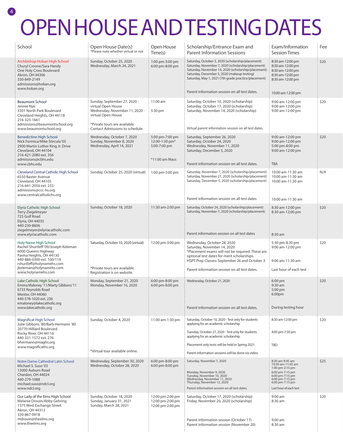## OPEN HOUSE AND TESTING DATES

4

| School                                                                                                                                                                                                                    | Open House Date(s)<br>*Please note whether virtual or not                                                                                   | Open House<br>Time(s)                                               | Scholarship/Entrance Exam and<br><b>Parent Information Sessions</b>                                                                                                                                                                                                   | Exam/Information<br><b>Session Times</b>                                                         | Fee  |
|---------------------------------------------------------------------------------------------------------------------------------------------------------------------------------------------------------------------------|---------------------------------------------------------------------------------------------------------------------------------------------|---------------------------------------------------------------------|-----------------------------------------------------------------------------------------------------------------------------------------------------------------------------------------------------------------------------------------------------------------------|--------------------------------------------------------------------------------------------------|------|
| Archbishop Hoban High School<br>Churyl Croone/Sara Handy<br>One Holy Cross Boulevard<br>Akron, OH 44306<br>330-849-2149<br>admissions@hoban.org<br>www.hoban.org                                                          | Sunday, October 25, 2020<br>Wednesday, March 24, 2021                                                                                       | 1:00 pm-3:00 pm<br>6:00 pm-8:00 pm                                  | Saturday, October 3, 2020 (scholarship/placement)<br>Saturday, November 7, 2020 (scholarship/placement)<br>Saturday, November 14, 2020 (scholarship/placement)<br>Saturday, December 5, 2020 (makeup testing)<br>Saturday, May 1, 2021 (7th grade practice/placement) | 8:30 am-12:00 pm<br>8:30 am-12:00 pm<br>8:30 am-12:00 pm<br>8:30 am-12:00 pm<br>8:30 am-12:00 pm | \$20 |
|                                                                                                                                                                                                                           |                                                                                                                                             |                                                                     | Parent information session on all test dates.                                                                                                                                                                                                                         | 10:00 am-12:00 pm                                                                                |      |
| <b>Beaumont School</b><br>Jennie Nye<br>3301 North Park Boulevard<br>Cleveland Heights, OH 44118<br>216-325-1661<br>admissions@beaumontschool.org                                                                         | Sunday, September 27, 2020 -<br>virtual Open House<br>Wednesday, November 11, 2020 -<br>virtual Open House<br>*Private tours are available. | 11:00 am<br>5:30 pm                                                 | Saturday, October 10, 2020 (scholarship)<br>Saturday, October 17, 2020 (scholarship)<br>Saturday, November 14, 2020 (scholarship)                                                                                                                                     | 9:00 am-12:00 pm<br>9:00 am-12:00 pm<br>9:00 am-12:00 pm                                         | \$20 |
| www.beaumontschool.org                                                                                                                                                                                                    | Contact Admissions to schedule.                                                                                                             |                                                                     | Virtual parent information session on all test dates.                                                                                                                                                                                                                 |                                                                                                  |      |
| <b>Benedictine High School</b><br>Nick Formica/Mike Stircula '05<br>2900 Martin Luther King Jr. Drive<br>Cleveland, OH 44104<br>216-421-2080 ext. 356<br>admissions@cbhs.edu                                              | Wednesday, October 7, 2020<br>Sunday, November 8, 2020<br>Wednesday, April 14, 2021                                                         | 5:00 pm-7:00 pm<br>12:00-1:30 pm*<br>5:00-7:00 pm<br>*11:00 am Mass | Saturday, September 26, 2020<br>Saturday, October 24, 2020<br>Wednesday, November 11, 2020<br>Saturday, December 5, 2020                                                                                                                                              | 9:00 am-12:00 pm<br>9:00 am-12:00 pm<br>5:00 pm-8:00 pm<br>9:00 am-12:00 pm                      | \$20 |
| www.cbhs.edu                                                                                                                                                                                                              |                                                                                                                                             |                                                                     | Parent information session on all test dates.                                                                                                                                                                                                                         | <b>TBA</b>                                                                                       |      |
| <b>Cleveland Central Catholic High School</b><br>6550 Baxter Avenue<br>Cleveland, OH 44105<br>216-641-2056 ext. 233<br>admissions@ccc-hs.org                                                                              | Sunday, October 25, 2020 (virtual)                                                                                                          | 1:00 pm-3:00 pm                                                     | Saturday, November 7, 2020 (scholarship/placement)<br>Saturday, November 21, 2020 (scholarship/placement)<br>Saturday, December 5, 2020 (scholarship/placement)                                                                                                       | 10:00 am-11:30 am<br>10:00 am-11:30 am<br>10:00 am-11:30 am                                      | N/A  |
| www.centralcatholichs.org                                                                                                                                                                                                 |                                                                                                                                             |                                                                     | Parent information session on all test dates                                                                                                                                                                                                                          | 10:00 am-11:30 am                                                                                |      |
| Elyria Catholic High School<br><b>Terry Ziegelmeyer</b><br>725 Gulf Road<br>Elyria, OH 44035<br>440-230-8606<br>ziegelmeyer@elyriacatholic.com                                                                            | Sunday, October 18, 2020                                                                                                                    | 11:30 am-2:00 pm                                                    | Saturday, October 24, 2020 (scholarship/placement)<br>Saturday, November 7, 2020 (scholarship/placement)                                                                                                                                                              | 8:30 am-12:00 pm<br>8:30 am-12:00 pm                                                             | \$20 |
| www.elyriacatholic.com                                                                                                                                                                                                    |                                                                                                                                             |                                                                     | Parent information session on all test dates                                                                                                                                                                                                                          | 8:30 am                                                                                          |      |
| Holy Name High School<br>Rachel Shurtleff '09/Joseph Keleman<br>6000 Queens Highway<br>Parma Heights, OH 44130<br>440-886-0300 ext. 100/116<br>rshurtleff@holynamehs.com<br>jkeleman@holynamehs.com<br>www.holynamehs.com | Saturday, October 10, 2020 (virtual)<br>*Private tours are available.<br>Registration is on website.                                        | 12:00 pm-3:00 pm                                                    | Wednesday, October 28, 2020<br>Saturday, November 14, 2020<br>*Placement exams will not be required. These are<br>optional test dates for merit scholarships.<br>HSPT Prep Classes: September 26 and October 3<br>Parent information session on all test dates.       | 5:30 pm-8:30 pm<br>9:00 am-12:00 pm<br>9:00 am-11:30 am<br>Last hour of each test                | \$20 |
| Lake Catholic High School<br>Emma Maloney '11/Marty Gibbons'11<br>6733 Reynolds Road<br>Mentor, OH 44060<br>440-578-1020 ext. 236<br>emaloney@lakecatholic.org                                                            | Monday, September 21, 2020<br>Monday, November 16, 2020                                                                                     | 6:00 pm-8:00 pm<br>6:00 pm-8:00 pm                                  | Wednesday, October 21, 2020                                                                                                                                                                                                                                           | 6:00 pm<br>9:30 am<br>5:00 pm<br>6:00pm                                                          | \$20 |
| www.lakecatholic.org                                                                                                                                                                                                      |                                                                                                                                             |                                                                     | Parent information session on all test dates.                                                                                                                                                                                                                         | During testing hour                                                                              |      |
| Magnificat High School<br>Julie Gibbons '80/Barb Hermann '80<br>20770 Hilliard Boulevard<br>Rocky River, OH 44116                                                                                                         | Sunday, October 4, 2020                                                                                                                     | 11:00 am-1:30 pm                                                    | Saturday, October 10, 2020 - Test only for students<br>applying for an academic scholarship<br>Tuesday, October 27, 2020 - Test only for students                                                                                                                     | 8:30 am-12:00 pm<br>4:00 pm-7:30 pm                                                              | \$20 |
| 440-331-1572 ext. 276<br>bhermann@maghs.org                                                                                                                                                                               |                                                                                                                                             |                                                                     | applying for an academic scholarship<br>Placement only tests will be held in Spring 2021.                                                                                                                                                                             | <b>TBD</b>                                                                                       |      |
| www.magnificaths.org                                                                                                                                                                                                      | *Virtual tour available online.                                                                                                             |                                                                     | Parent information sessions will be done via video.                                                                                                                                                                                                                   |                                                                                                  |      |
| Notre Dame-Cathedral Latin School<br>Michael S. Suso '03<br>13000 Auburn Road                                                                                                                                             | Wednesday, September 30, 2020<br>Wednesday, October 28, 2020                                                                                | 6:00 pm-8:00 pm<br>6:00 pm-8:00 pm                                  | Saturday, November 7, 2020<br>Monday, November 9, 2020                                                                                                                                                                                                                | 8:30 am-9:45 am<br>10:30 am-11:45 am<br>1:00 pm-2:15 pm<br>6:00 pm-7:15 pm                       | \$25 |
| Chardon, OH 44024<br>440-279-1088<br>michael.suso@ndcl.org<br>www.ndcl.org                                                                                                                                                |                                                                                                                                             |                                                                     | Tuesday, November 10, 2020<br>Wednesday, November 11, 2020<br>Thursday, November 12, 2020<br>Parent information session on all test dates.                                                                                                                            | 6:00 pm-7:15 pm<br>6:00 pm-7:15 pm<br>6:00 pm-7:15 pm<br>Last hour of each test                  |      |
| Our Lady of the Elms High School<br>Melanie Drouin/Abby Gehring<br>1375 West Exchange Street<br>Akron, OH 44313<br>330-867-0918<br>mdrouin@theelms.org                                                                    | Sunday, October 18, 2020<br>Sunday, January 31, 2021<br>Sunday, March 28, 2021                                                              | 12:00 pm-2:00 pm<br>12:00 pm-2:00 pm<br>12:00 pm-2:00 pm            | Saturday, October 17, 2020 (scholarship)<br>Friday, November 20, 2020 (scholarship)<br>Parent information session (October 17)                                                                                                                                        | $9:00$ am<br>8:30 am<br>$9:00$ am                                                                | \$20 |
| www.theelms.org                                                                                                                                                                                                           |                                                                                                                                             |                                                                     | Parent information session (November 20)                                                                                                                                                                                                                              | 8:30 am                                                                                          |      |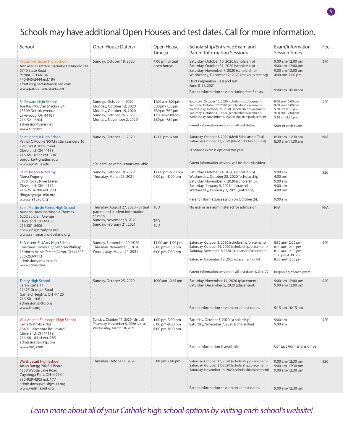### Schools may have additional Open Houses and test dates. Call for more information.

| School                                                                                                                                                                                             | Open House Date(s)                                                                                                                        | Open House<br>Time(s)                                                                          | Scholarship/Entrance Exam and<br><b>Parent Information Sessions</b>                                                                                                                                                                                                                                                          | Exam/Information<br><b>Session Times</b>                                                                                  | Fee  |
|----------------------------------------------------------------------------------------------------------------------------------------------------------------------------------------------------|-------------------------------------------------------------------------------------------------------------------------------------------|------------------------------------------------------------------------------------------------|------------------------------------------------------------------------------------------------------------------------------------------------------------------------------------------------------------------------------------------------------------------------------------------------------------------------------|---------------------------------------------------------------------------------------------------------------------------|------|
| Padua Franciscan High School<br>Ann Marie Frattare '94/Katie DeAngelo'08<br>6740 State Road<br>Parma, OH 44134<br>440-845-2444 ext.184<br>afrattare@paduafranciscan.com<br>www.paduafranciscan.com | Sunday, October 18, 2020                                                                                                                  | 4:00 pm virtual<br>open house                                                                  | Saturday, October 10, 2020 (scholarship)<br>Saturday, October 31, 2020 (scholarship)<br>Saturday, November 7, 2020 (scholarship)<br>Wednesday, December 2, 2020 (makeup testing)<br><b>HSPT Preparation Class and Test</b><br>June 8-11, 2021<br>Parent information session during first 3 tests.                            | 9:00 am-12:00 pm<br>9:00 am-12:00 pm<br>9:00 am-12:00 pm<br>4:00 pm-7:00 pm<br>9:00 am-10:30 am                           | \$20 |
| St. Edward High School<br>Joe Kasl '99/Dan Mackin '04<br>13500 Detroit Avenue<br>Lakewood, OH 44107<br>216-521-2204<br>admission@sehs.net<br>www.sehs.net                                          | Sunday, October 4, 2020<br>Monday, October 12, 2020<br>Monday, October 19, 2020<br>Sunday, October 25, 2020<br>Monday, November 2, 2020   | 11:00 am -1:00 pm<br>5:30 pm-7:30 pm<br>5:30 pm-7:30 pm<br>11:00 am-1:00 pm<br>5:30 pm-7:30 pm | Saturday, October 10, 2020 (scholarship/placement)<br>Saturday, October 17, 2020 (scholarship/placement)<br>Wednesday, October 21, 2020 (scholarship/placement)<br>Saturday, October 31, 2020 (scholarship/placement)<br>Wednesday, November 4, 2020 (scholarship/placement<br>Parent information session on all test dates. | 9:00 am-12:00 pm<br>9:00 am-12:00 pm<br>5:30 pm-8:30 pm<br>9:00 am-12:00 pm<br>5:30 pm-8:30 pm<br>Start of each exam      | \$20 |
| Saint Ignatius High School<br>Patrick O'Rourke '90/Christian Sanders '10<br>1911 West 30th Street<br>Cleveland, OH 44113<br>216-651-0222 ext. 394<br>porourke@ignatius.edu<br>www.ignatius.edu     | Sunday, October 11, 2020<br>*Student-led campus tours available                                                                           | 12:00 pm-6 pm                                                                                  | Saturday, October 3, 2020 (Merit Scholarship Test)<br>Saturday, October 31, 2020 (Merit Scholarship Test)<br>*Entrance exam is optional this year<br>Parent information sessions will be done via video.                                                                                                                     | 8:30 am-11:30 am<br>8:30 am-11:30 am                                                                                      | N/A  |
| Saint Joseph Academy<br>Diana Fogarty<br>3470 Rocky River Drive<br>Cleveland, OH 44111<br>216-251-6788 ext. 220<br>dfogarty@sja1890.org<br>www.sja1890.org                                         | Sunday, October 18, 2020<br>Thursday, March 25, 2021                                                                                      | 12:00 pm-6:00 pm<br>6:00 pm-8:00 pm                                                            | Saturday, October 24, 2020 (scholarship)<br>Wednesday, October 28, 2020 (scholarship)<br>Saturday, November 7, 2020 (scholarship)<br>Saturday, January 9, 2021 (entrance)<br>Wednesday, February 3, 2021 (entrance)<br>Parent information session on October 24.                                                             | 9:00 am<br>4:00 pm<br>9:00 am<br>$9:00$ am<br>4:00 pm<br>9:00 am                                                          | \$20 |
| Saint Martin de Porres High School<br>Aundria Hawkins/Angela Thomas<br>6202 St. Clair Avenue<br>Cleveland, OH 44103<br>216-881-5406<br>ahawkins@stmdphs.org<br>www.saintmartincleveland.org        | Thursday, August 27, 2020 - virtual<br>parent and student information<br>session<br>Sunday, November 8, 2020<br>Sunday, February 21, 2021 | <b>TBD</b><br><b>TBD</b><br><b>TBD</b>                                                         | No exams are administered for admission.                                                                                                                                                                                                                                                                                     | N/A                                                                                                                       | N/A  |
| St. Vincent-St. Mary High School<br>Courtney Conley '03/Deborah Phillipp<br>15 North Maple Street, Akron, OH 44303<br>330-253-9113<br>admissions@stvm.com<br>www.stvm.com                          | Sunday, September 20, 2020<br>Thursday, November 5, 2020<br>Wednesday, March 24, 2021                                                     | 11:00 am-1:00 pm<br>6:00 pm-7:30 pm<br>6:00 pm-7:30 pm                                         | Saturday, October 3, 2020 (scholarship/placement)<br>Saturday, October 24, 2020 (scholarship/placement)<br>Saturday, November 7, 2020 (scholarship/placement)<br>Saturday, December 12, 2020 (placement only)<br>Parent information session on all test dates & Oct. 27.                                                     | 8:30 am-12:00 pm<br>8:30 am-12:00 pm<br>8:30 am-12:00 pm<br>1:00 pm-4:30 pm<br>8:30 am-12:00 pm<br>Beginning of each exam | \$20 |
| <b>Trinity High School</b><br>Sarah Kurtz'11<br>12425 Granger Road<br>Garfield Heights, OH 44125<br>216-581-1061<br>admissions@ths.org<br>www.ths.org                                              | Sunday, October 25, 2020                                                                                                                  | 10:00 am-12:45 pm                                                                              | Saturday, November 14, 2020 (placement)<br>Saturday, December 5, 2020 (placement)<br>Parent information session on all test dates.                                                                                                                                                                                           | 9:00 am-12:00 pm<br>9:00 am-12:00 pm<br>9:15 am-10:15 am                                                                  | \$20 |
| Villa Angela-St. Joseph High School<br>Kellie Watrobski '03<br>18491 Lakeshore Boulevard<br>Cleveland, OH 44119<br>216-481-8414 ext. 285<br>admissions@vasj.com<br>www.vasj.com                    | Sunday, October 11, 2020 (virtual)<br>Thursday, November 5, 2020 (virtual)<br>Wednesday, March 10, 2021                                   | 1:00 pm-3:00 pm<br>6:00 pm-8:00 pm<br>6:00 pm-8:00 pm                                          | Saturday, October 3, 2020 (scholarship)<br>Saturday, November 7, 2020 (scholarship)<br>Parent information is available.                                                                                                                                                                                                      | 9:00 am<br>9:00 am<br><b>Contact Admissions office</b>                                                                    | \$20 |
| Walsh Jesuit High School<br>Jason Ruegg '96/Bill Beard<br>4550 Wyoga Lake Road<br>Cuyahoga Falls, OH 44224<br>330-929-4205 ext. 177<br>admissions@walshjesuit.org<br>www.walshjesuit.org           | Thursday, October 1, 2020                                                                                                                 | 5:00 pm-7:00 pm                                                                                | Saturday, October 17, 2020 (scholarship/placement)<br>Saturday, October 31, 2020 (scholarship/placement)<br>Saturday, November 14, 2020 (scholarship/placement)<br>Parent information session on all test dates.                                                                                                             | 9:00 am-12:30 pm<br>9:00 am-12:30 pm<br>9:00 am-12:30 pm<br>9:00 am-12:30 pm                                              | \$20 |

Learn more about all of your Catholic high school options by visiting each school's website!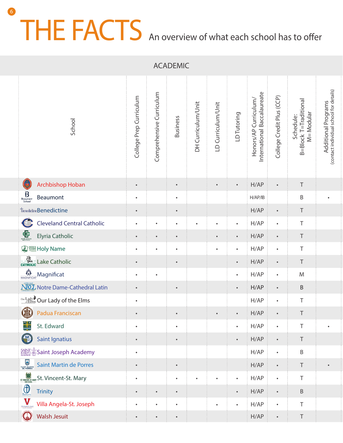## THE FACTS An overview of what each school has to offer 6

ACADEMIC

| School                                                                                                              | College Prep Curriculum | Comprehensive Curriculum | <b>Business</b> | DH Curriculum/Unit | LD Curriculum/Unit | LD Tutoring | Honors/AP Curriculum/<br>International Baccalaureate | College Credit Plus (CCP) | B=Block T=Traditional<br>M= Modular<br>Schedule: | Additional Programs<br>(contact individual school for details) |
|---------------------------------------------------------------------------------------------------------------------|-------------------------|--------------------------|-----------------|--------------------|--------------------|-------------|------------------------------------------------------|---------------------------|--------------------------------------------------|----------------------------------------------------------------|
| Archbishop Hoban                                                                                                    | $\bullet$               |                          | $\bullet$       |                    | $\bullet$          | $\bullet$ . | H/AP                                                 | $\bullet$                 | $\top$                                           |                                                                |
| $\underbrace{B}_{\substack{\text{Beaumont}\ \text{School}}}$<br>Beaumont                                            | $\bullet$               |                          | $\bullet$       |                    |                    |             | H/AP/IB                                              |                           | $\mathsf B$                                      | $\bullet$                                                      |
| <b><i>Thenedictine</i> Benedictine</b>                                                                              | $\bullet$               |                          | $\bullet$       |                    |                    |             | H/AP                                                 | $\bullet$                 | $\top$                                           |                                                                |
| Cleveland Central Catholic                                                                                          | $\bullet$               | $\bullet$                | $\bullet$       | $\bullet$          | $\bullet$          | $\bullet$   | H/AP                                                 | $\bullet$                 | $\top$                                           |                                                                |
| Elyria Catholic                                                                                                     | $\bullet$               |                          |                 |                    | $\bullet$          | $\bullet$   | H/AP                                                 | $\bullet$                 | $\top$                                           |                                                                |
| <b>② 图 Holy Name</b>                                                                                                | $\bullet$               | $\bullet$                | $\bullet$       |                    | $\bullet$          |             | H/AP                                                 | $\bullet$                 | $\top$                                           |                                                                |
| <b>CATHOLIC</b> Lake Catholic                                                                                       | $\bullet$               |                          | $\bullet$       |                    |                    | $\bullet$ . | H/AP                                                 | $\bullet$                 | $\top$                                           |                                                                |
| $\underbrace{\mathop{\bigwedge}\limits_{\text{MAGNIFICAT}}}\mathop{\mathsf{Magnificat}}$                            | $\bullet$               | $\bullet$                |                 |                    |                    | $\bullet$   | H/AP                                                 | $\bullet$                 | M                                                |                                                                |
| <b>NOL</b> Notre Dame-Cathedral Latin                                                                               | $\bullet$               |                          | $\bullet$       |                    |                    | $\bullet$   | H/AP                                                 | $\bullet$                 | $\sf B$                                          |                                                                |
| <b>Our Lady</b> Our Lady of the Elms                                                                                | $\bullet$               |                          |                 |                    |                    |             | H/AP                                                 | $\bullet$                 | $\top$                                           |                                                                |
| <b>B</b> Padua Franciscan                                                                                           | $\bullet$               |                          | $\bullet$       |                    | $\bullet$          | $\bullet$   | H/AP                                                 | $\bullet$                 | $\top$                                           |                                                                |
| St. Edward                                                                                                          |                         |                          | $\bullet$       |                    |                    |             | H/AP                                                 |                           | T                                                |                                                                |
| 2<br>Saint Ignatius                                                                                                 | $\bullet$               |                          | $\bullet$       |                    |                    | $\bullet$ . | H/AP                                                 | $\bullet$                 | $\top$                                           |                                                                |
| SAINT Saint Joseph Academy                                                                                          | $\bullet$ .             |                          |                 |                    |                    |             | H/AP                                                 | $\bullet$                 | $\mathsf B$                                      |                                                                |
| <b>Saint Martin de Porres</b>                                                                                       | $\bullet$               |                          | $\bullet$       |                    |                    |             | H/AP                                                 | $\bullet$                 | $\top$                                           | $\bullet$                                                      |
| <b>SUMPLE AND SET SET ON A STATE OF STATE SET ON A STATE OF STATE SET OF STATE SET OF STATE STATE STATE STATE S</b> | $\bullet$               |                          | $\bullet$       | $\bullet$          | $\bullet$          | $\bullet$   | H/AP                                                 | $\bullet$                 | $\top$                                           |                                                                |
| $\bigoplus$ TRINITY<br>Trinity                                                                                      | $\bullet$               | $\bullet$                | $\bullet$       |                    |                    | $\bullet$ . | H/AP                                                 | $\bullet$                 | $\,$ B                                           |                                                                |
| Villa Angela-St. Joseph                                                                                             | $\bullet$               | $\bullet$                | $\bullet$       |                    | $\bullet$          | $\bullet$   | H/AP                                                 | $\bullet$                 | $\top$                                           |                                                                |
| <b>Walsh Jesuit</b>                                                                                                 | $\bullet$               | $\bullet$                | $\bullet$       |                    |                    |             | H/AP                                                 | $\bullet$                 | $\top$                                           |                                                                |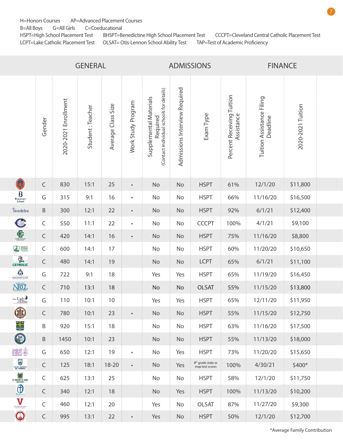H=Honors Courses AP=Advanced Placement Courses

B=All Boys G=All Girls C=Coeducational

HSPT=High School Placement Test BHSPT=Benedictine High School Placement Test CCCPT=Cleveland Central Catholic Placement Test LCPT=Lake Catholic Placement Test OLSAT= Otis-Lennon School Ability Test TAP=Test of Academic Proficiency

| <b>GENERAL</b>                                                                    |  |                      | <b>ADMISSIONS</b> |                    |                    |                                                                                | <b>FINANCE</b>                |                                         |                                         |                                       |                   |  |
|-----------------------------------------------------------------------------------|--|----------------------|-------------------|--------------------|--------------------|--------------------------------------------------------------------------------|-------------------------------|-----------------------------------------|-----------------------------------------|---------------------------------------|-------------------|--|
| Gender                                                                            |  | 2020-2021 Enrollment | Student: Teacher  | Average Class Size | Work Study Program | Required<br>(Contact individual schools for details)<br>Supplemental Materials | Admissions Interview Required | Exam Type                               | Percent Receiving Tuition<br>Assistance | Tuition Assistance Filing<br>Deadline | 2020-2021 Tuition |  |
| C<br>$\subset$                                                                    |  | 830                  | 15:1              | $25\,$             | $\bullet$          | No                                                                             | No                            | <b>HSPT</b>                             | 61%                                     | 12/1/20                               | \$11,800          |  |
| $\underbrace{B}_{\substack{\text{Beaumont} \\ \text{School}}}$<br>G               |  | 315                  | 9:1               | 16                 | $\bullet$          | No                                                                             | No                            | <b>HSPT</b>                             | 66%                                     | 11/16/20                              | \$16,500          |  |
| <b><i><u>benedictine</u></i></b><br>$\sf B$                                       |  | 300                  | 12:1              | 22                 | $\bullet$          | No                                                                             | No                            | <b>HSPT</b>                             | 92%                                     | 6/1/21                                | \$12,400          |  |
| C<br>$\mathsf C$                                                                  |  | 550                  | 11:1              | 22                 | $\bullet$          | No                                                                             | No                            | <b>CCCPT</b>                            | 100%                                    | 4/1/21                                | \$9,100           |  |
| $E_{\text{max}}$<br>$\mathsf{C}$                                                  |  | 420                  | 14:1              | 16                 | $\bullet$          | No                                                                             | No                            | <b>HSPT</b>                             | 75%                                     | 11/16/20                              | \$8,800           |  |
| <b>ED</b> HOLY<br>$\mathsf C$                                                     |  | 600                  | 14:1              | 17                 |                    | No                                                                             | No                            | <b>HSPT</b>                             | 60%                                     | 11/20/20                              | \$10,650          |  |
| $\frac{1}{\sqrt{2}}$<br>$\mathsf{C}$                                              |  | 480                  | 14:1              | 19                 |                    | No                                                                             | No                            | <b>LCPT</b>                             | 65%                                     | 6/1/21                                | \$11,100          |  |
| MAGNIFICAT<br>G                                                                   |  | 722                  | 9:1               | 18                 |                    | Yes                                                                            | Yes                           | <b>HSPT</b>                             | 65%                                     | 11/19/20                              | \$16,450          |  |
| NOTE DAME<br>$\mathsf{C}$                                                         |  | 710                  | 13:1              | 18                 |                    | No                                                                             | No                            | <b>OLSAT</b>                            | 55%                                     | 11/15/20                              | \$13,800          |  |
| $\lim_{\substack{\text{off} \\ \text{off} \\ \text{}{}}\text{Eims}}$<br>G         |  | 110                  | 10:1              | 10 <sup>°</sup>    |                    | Yes                                                                            | Yes                           | <b>HSPT</b>                             | 65%                                     | 12/11/20                              | \$11,950          |  |
| $\circledcirc$<br>C                                                               |  | 780                  | 10:1              | 23                 | $\bullet$          | No                                                                             | No                            | <b>HSPT</b>                             | 55%                                     | 11/15/20                              | \$12,750          |  |
| B                                                                                 |  | 920                  | 15:1              | 18                 |                    | No                                                                             | No                            | <b>HSPT</b>                             | 63%                                     | 11/16/20                              | \$17,500          |  |
| 4<br>B                                                                            |  | 1450                 | 10:1              | 23                 |                    | No                                                                             | No                            | <b>HSPT</b>                             | 55%                                     | 11/13/20                              | \$18,000          |  |
| SAINT<br>G                                                                        |  | 650                  | 12:1              | 19                 | $\bullet$          | No                                                                             | Yes                           | <b>HSPT</b>                             | 73%                                     | 11/20/20                              | \$15,650          |  |
| SAINT MARTIN<br>$\mathsf{C}$                                                      |  | 125                  | 18:1              | $18 - 20$          | $\bullet$          | No                                                                             | Yes                           | $8th$ grade state or<br>map test scores | 100%                                    | 4/30/21                               | $$400*$           |  |
| ST. VINCENT-ST. MARY<br>$\mathsf{C}$                                              |  | 625                  | 13:1              | 25                 |                    | No                                                                             | No                            | <b>HSPT</b>                             | 58%                                     | 12/1/20                               | \$11,750          |  |
| $\bigoplus$ TRININ<br>$\mathsf{C}$                                                |  | 340                  | 12:1              | 18                 |                    | No                                                                             | Yes                           | <b>HSPT</b>                             | 100%                                    | 11/13/20                              | \$10,200          |  |
| $\sum_{\frac{\text{Wla Argels St. Joseph}}{\text{R10.8.164001}}}$<br>$\mathsf{C}$ |  | 460                  | 12:1              | 20                 |                    | Yes                                                                            | No                            | OLSAT                                   | 87%                                     | 11/27/20                              | \$9,300           |  |
| $\bigcirc$<br>$\mathsf{C}$                                                        |  | 995                  | 13:1              | 22                 | $\bullet$          | Yes                                                                            | No                            | <b>HSPT</b>                             | 50%                                     | 12/1/20                               | \$12,700          |  |

\*Average Family Contribution